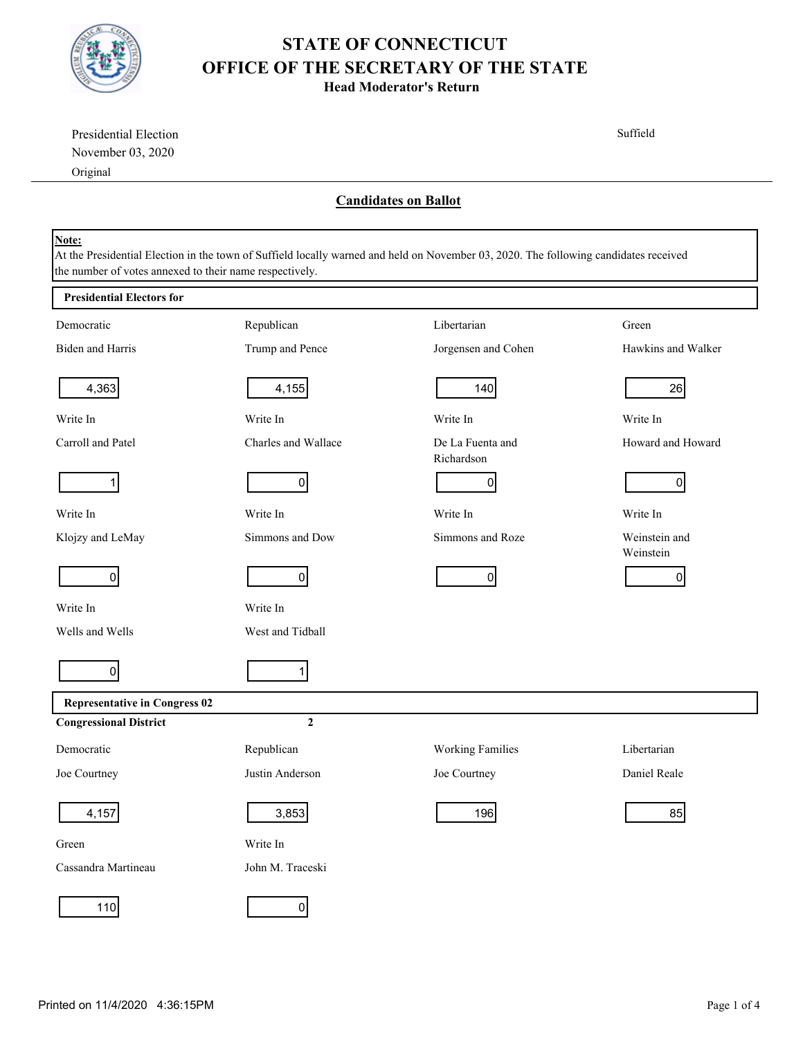

**Head Moderator's Return**

| Presidential Election                                   |                     |                                                                                                                                      | Suffield                   |
|---------------------------------------------------------|---------------------|--------------------------------------------------------------------------------------------------------------------------------------|----------------------------|
| November 03, 2020                                       |                     |                                                                                                                                      |                            |
| Original                                                |                     |                                                                                                                                      |                            |
|                                                         |                     | <b>Candidates on Ballot</b>                                                                                                          |                            |
|                                                         |                     |                                                                                                                                      |                            |
| Note:                                                   |                     |                                                                                                                                      |                            |
| the number of votes annexed to their name respectively. |                     | At the Presidential Election in the town of Suffield locally warned and held on November 03, 2020. The following candidates received |                            |
| <b>Presidential Electors for</b>                        |                     |                                                                                                                                      |                            |
| Democratic                                              | Republican          | Libertarian                                                                                                                          | Green                      |
| Biden and Harris                                        | Trump and Pence     | Jorgensen and Cohen                                                                                                                  | Hawkins and Walker         |
| 4,363                                                   | 4,155               | 140                                                                                                                                  | 26                         |
| Write In                                                | Write In            | Write In                                                                                                                             | Write In                   |
| Carroll and Patel                                       | Charles and Wallace | De La Fuenta and<br>Richardson                                                                                                       | Howard and Howard          |
| 1                                                       | $\overline{0}$      | $\overline{0}$                                                                                                                       | $\overline{0}$             |
| Write In                                                | Write In            | Write In                                                                                                                             | Write In                   |
| Klojzy and LeMay                                        | Simmons and Dow     | Simmons and Roze                                                                                                                     | Weinstein and<br>Weinstein |
| $\overline{0}$                                          | 0                   | $\overline{0}$                                                                                                                       | 01                         |
| Write In                                                | Write In            |                                                                                                                                      |                            |
| Wells and Wells                                         | West and Tidball    |                                                                                                                                      |                            |
| $\overline{0}$                                          | 1 <sup>1</sup>      |                                                                                                                                      |                            |
| <b>Representative in Congress 02</b>                    |                     |                                                                                                                                      |                            |
| <b>Congressional District</b>                           | $\mathbf 2$         |                                                                                                                                      |                            |
| Democratic                                              | Republican          | <b>Working Families</b>                                                                                                              | Libertarian                |
| Joe Courtney                                            | Justin Anderson     | Joe Courtney                                                                                                                         | Daniel Reale               |
| 4,157                                                   | 3,853               | 196                                                                                                                                  | 85                         |
| Green                                                   | Write In            |                                                                                                                                      |                            |
| Cassandra Martineau                                     | John M. Traceski    |                                                                                                                                      |                            |
| 110                                                     | $\overline{0}$      |                                                                                                                                      |                            |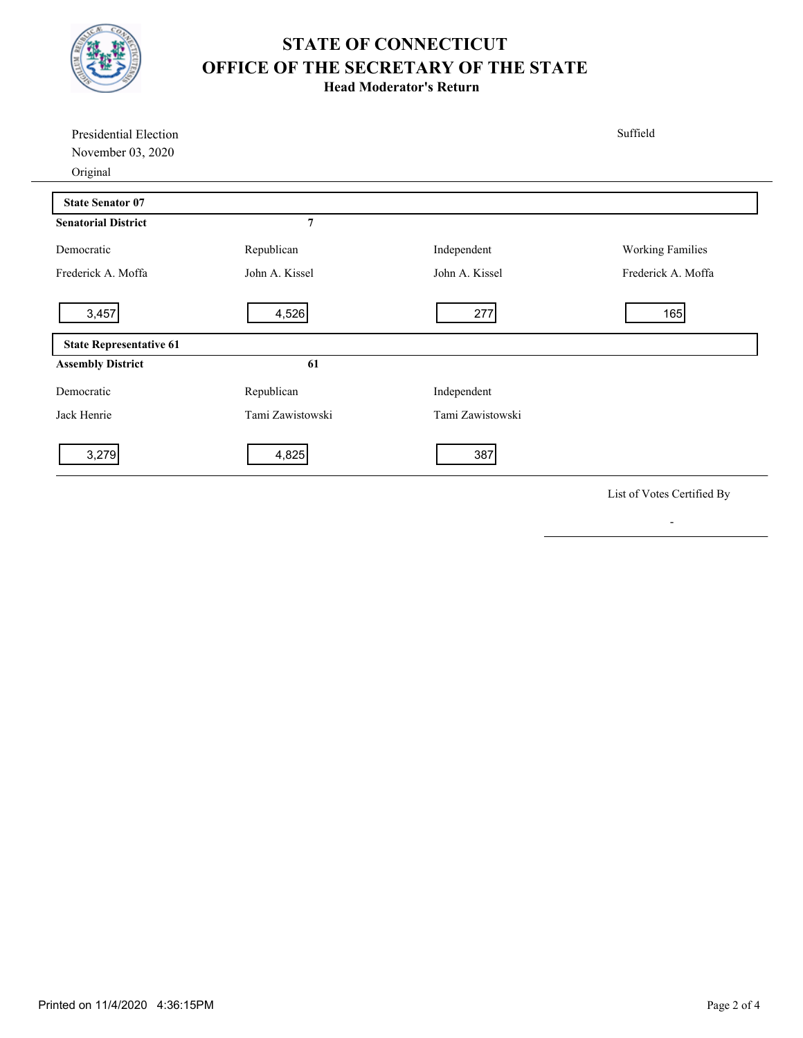

**Head Moderator's Return**

| Presidential Election<br>November 03, 2020<br>Original |                  |                  | Suffield                |
|--------------------------------------------------------|------------------|------------------|-------------------------|
| <b>State Senator 07</b>                                |                  |                  |                         |
| <b>Senatorial District</b>                             | 7                |                  |                         |
| Democratic                                             | Republican       | Independent      | <b>Working Families</b> |
| Frederick A. Moffa                                     | John A. Kissel   | John A. Kissel   | Frederick A. Moffa      |
| 3,457                                                  | 4,526            | 277              | 165                     |
| <b>State Representative 61</b>                         |                  |                  |                         |
| <b>Assembly District</b>                               | 61               |                  |                         |
| Democratic                                             | Republican       | Independent      |                         |
| Jack Henrie                                            | Tami Zawistowski | Tami Zawistowski |                         |
| 3,279                                                  | 4,825            | 387              |                         |

List of Votes Certified By

-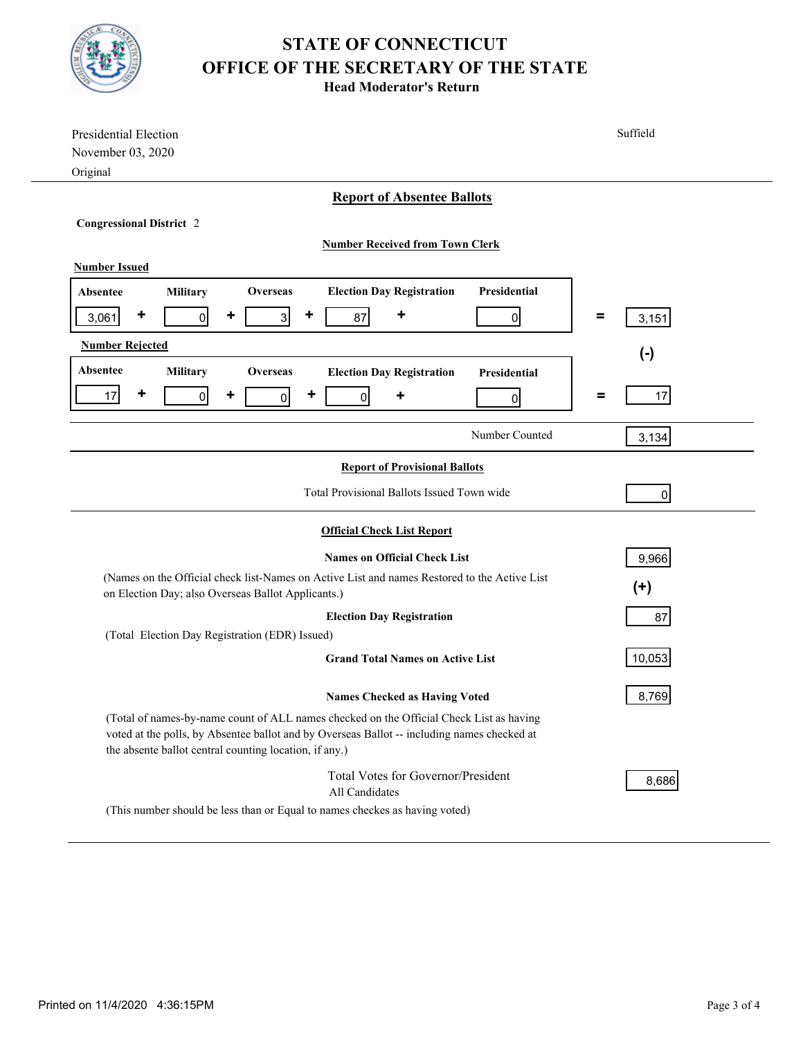

**Head Moderator's Return**

| Presidential Election                                                                              | Suffield   |  |  |  |  |
|----------------------------------------------------------------------------------------------------|------------|--|--|--|--|
| November 03, 2020                                                                                  |            |  |  |  |  |
| Original                                                                                           |            |  |  |  |  |
| <b>Report of Absentee Ballots</b>                                                                  |            |  |  |  |  |
| <b>Congressional District 2</b>                                                                    |            |  |  |  |  |
| <b>Number Received from Town Clerk</b>                                                             |            |  |  |  |  |
| <b>Number Issued</b>                                                                               |            |  |  |  |  |
| Presidential                                                                                       |            |  |  |  |  |
| <b>Election Day Registration</b><br><b>Military</b><br>Overseas<br><b>Absentee</b>                 |            |  |  |  |  |
| ٠<br>٠<br>٠<br>$\overline{3}$<br>3,061<br>$\overline{0}$<br>87<br>0                                | Ξ<br>3,151 |  |  |  |  |
| <b>Number Rejected</b><br>$(-)$                                                                    |            |  |  |  |  |
| Absentee<br><b>Military</b><br><b>Overseas</b><br><b>Election Day Registration</b><br>Presidential |            |  |  |  |  |
| ٠<br>٠<br>17<br>٠<br>$\overline{0}$<br>$\overline{0}$<br>٠<br>$\overline{0}$                       | 17<br>Ξ    |  |  |  |  |
| 0                                                                                                  |            |  |  |  |  |
| Number Counted                                                                                     | 3,134      |  |  |  |  |
| <b>Report of Provisional Ballots</b>                                                               |            |  |  |  |  |
|                                                                                                    |            |  |  |  |  |
| Total Provisional Ballots Issued Town wide<br>$\overline{0}$                                       |            |  |  |  |  |
| <b>Official Check List Report</b>                                                                  |            |  |  |  |  |
| <b>Names on Official Check List</b><br>9,966                                                       |            |  |  |  |  |
| (Names on the Official check list-Names on Active List and names Restored to the Active List       |            |  |  |  |  |
| $(+)$<br>on Election Day; also Overseas Ballot Applicants.)                                        |            |  |  |  |  |
| <b>Election Day Registration</b><br>87                                                             |            |  |  |  |  |
| (Total Election Day Registration (EDR) Issued)                                                     |            |  |  |  |  |
| <b>Grand Total Names on Active List</b>                                                            | 10,053     |  |  |  |  |
| <b>Names Checked as Having Voted</b>                                                               | 8,769      |  |  |  |  |
| (Total of names-by-name count of ALL names checked on the Official Check List as having            |            |  |  |  |  |
| voted at the polls, by Absentee ballot and by Overseas Ballot -- including names checked at        |            |  |  |  |  |
| the absente ballot central counting location, if any.)                                             |            |  |  |  |  |
| Total Votes for Governor/President                                                                 | 8,686      |  |  |  |  |
| All Candidates                                                                                     |            |  |  |  |  |
| (This number should be less than or Equal to names checkes as having voted)                        |            |  |  |  |  |